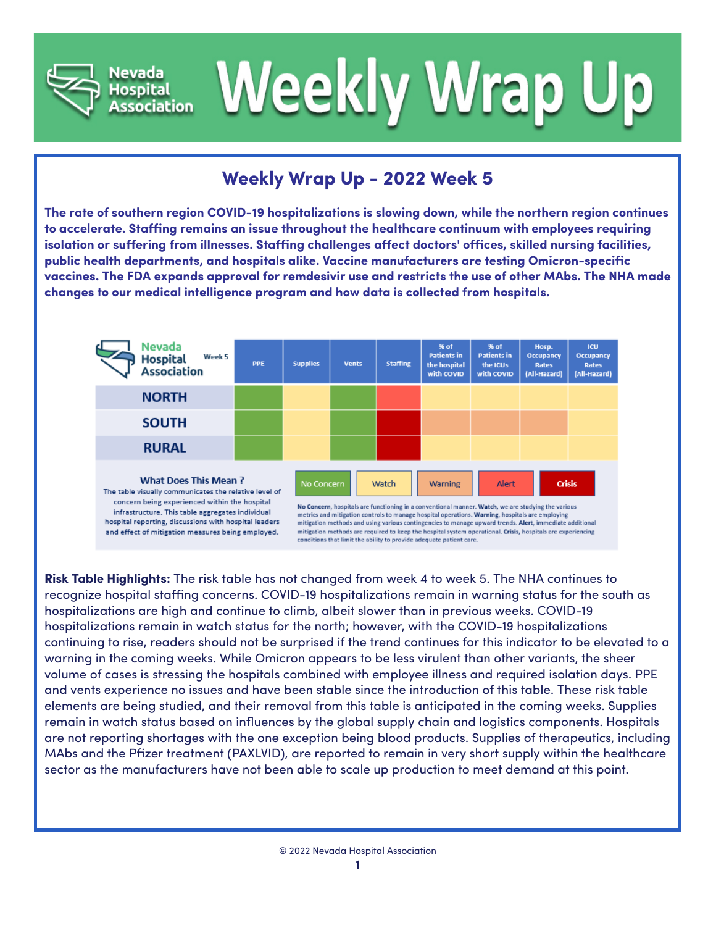



## **Weekly Wrap Up - 2022 Week 5**

**The rate of southern region COVID-19 hospitalizations is slowing down, while the northern region continues to accelerate. Staffing remains an issue throughout the healthcare continuum with employees requiring isolation or suffering from illnesses. Staffing challenges affect doctors' offices, skilled nursing facilities, public health departments, and hospitals alike. Vaccine manufacturers are testing Omicron-specific vaccines. The FDA expands approval for remdesivir use and restricts the use of other MAbs. The NHA made changes to our medical intelligence program and how data is collected from hospitals.**



**Risk Table Highlights:** The risk table has not changed from week 4 to week 5. The NHA continues to recognize hospital staffing concerns. COVID-19 hospitalizations remain in warning status for the south as hospitalizations are high and continue to climb, albeit slower than in previous weeks. COVID-19 hospitalizations remain in watch status for the north; however, with the COVID-19 hospitalizations continuing to rise, readers should not be surprised if the trend continues for this indicator to be elevated to a warning in the coming weeks. While Omicron appears to be less virulent than other variants, the sheer volume of cases is stressing the hospitals combined with employee illness and required isolation days. PPE and vents experience no issues and have been stable since the introduction of this table. These risk table elements are being studied, and their removal from this table is anticipated in the coming weeks. Supplies remain in watch status based on influences by the global supply chain and logistics components. Hospitals are not reporting shortages with the one exception being blood products. Supplies of therapeutics, including MAbs and the Pfizer treatment (PAXLVID), are reported to remain in very short supply within the healthcare sector as the manufacturers have not been able to scale up production to meet demand at this point.